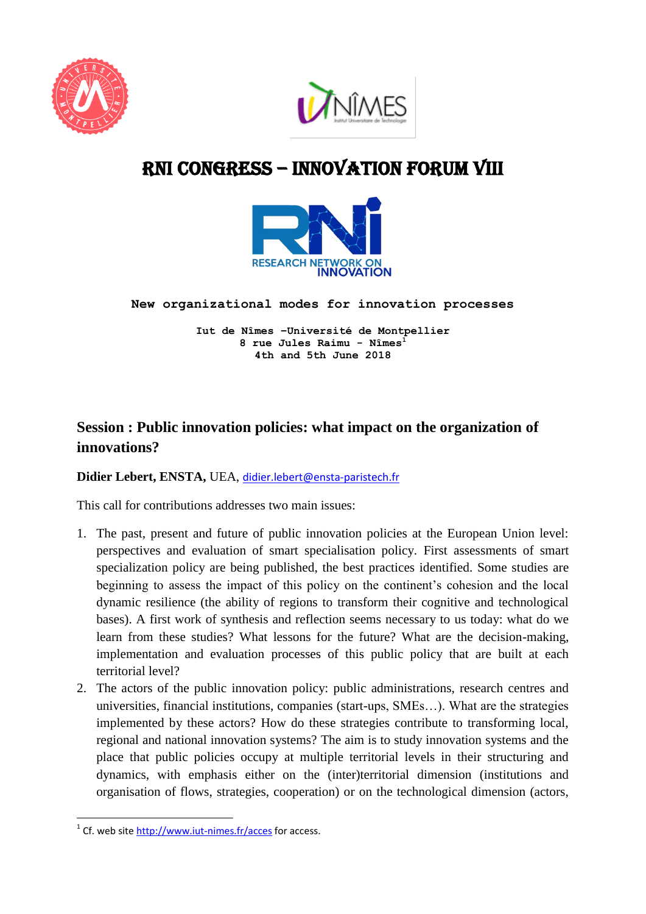



# RNI cONGRESS – innovation Forum VIII



**New organizational modes for innovation processes** 

**Iut de Nîmes –Université de Montpellier 8 rue Jules Raimu - Nîmes<sup>1</sup> 4th and 5th June 2018**

## **Session : Public innovation policies: what impact on the organization of innovations?**

#### **Didier Lebert, ENSTA,** UEA, [didier.lebert@ensta-paristech.fr](mailto:didier.lebert@ensta-paristech.fr)

This call for contributions addresses two main issues:

- 1. The past, present and future of public innovation policies at the European Union level: perspectives and evaluation of smart specialisation policy. First assessments of smart specialization policy are being published, the best practices identified. Some studies are beginning to assess the impact of this policy on the continent's cohesion and the local dynamic resilience (the ability of regions to transform their cognitive and technological bases). A first work of synthesis and reflection seems necessary to us today: what do we learn from these studies? What lessons for the future? What are the decision-making, implementation and evaluation processes of this public policy that are built at each territorial level?
- 2. The actors of the public innovation policy: public administrations, research centres and universities, financial institutions, companies (start-ups, SMEs…). What are the strategies implemented by these actors? How do these strategies contribute to transforming local, regional and national innovation systems? The aim is to study innovation systems and the place that public policies occupy at multiple territorial levels in their structuring and dynamics, with emphasis either on the (inter)territorial dimension (institutions and organisation of flows, strategies, cooperation) or on the technological dimension (actors,

**.** 

<sup>&</sup>lt;sup>1</sup> Cf. web site<http://www.iut-nimes.fr/acces> for access.